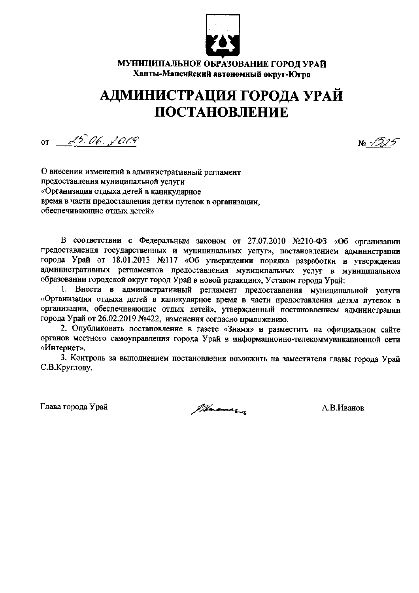

МУНИЦИПАЛЬНОЕ ОБРАЗОВАНИЕ ГОРОД УРАЙ Ханты-Мансийский автономный округ-Югра

## АДМИНИСТРАЦИЯ ГОРОДА УРАЙ ПОСТАНОВЛЕНИЕ

or  $25.06.2019$ 

№ 1225

О внесении изменений в административный регламент предоставления муниципальной услуги «Организация отдыха детей в каникулярное время в части предоставления детям путевок в организации, обеспечивающие отдых детей»

В соответствии с Федеральным законом от 27.07.2010 №210-ФЗ «Об организации предоставления государственных и муниципальных услуг», постановлением администрации города Урай от 18.01.2013 №117 «Об утверждении порядка разработки и утверждения административных регламентов предоставления муниципальных услуг в муниципальном образовании городской округ город Урай в новой редакции», Уставом города Урай:

1. Внести в административный регламент предоставления муниципальной услуги «Организация отдыха детей в каникулярное время в части предоставления детям путевок в организации, обеспечивающие отдых детей», утвержденный постановлением администрации города Урай от 26.02.2019 №422, изменения согласно приложению.

2. Опубликовать постановление в газете «Знамя» и разместить на официальном сайте органов местного самоуправления города Урай в информационно-телекоммуникационной сети «Интернет».

3. Контроль за выполнением постановления возложить на заместителя главы города Урай С.В.Круглову.

Глава города Урай

Marcon

А.В.Иванов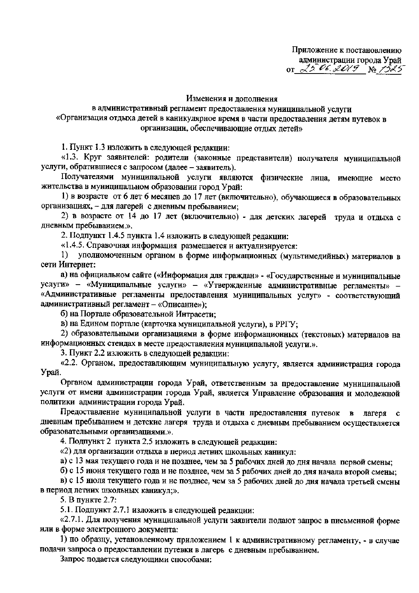## Изменения и дополнения

в административный регламент предоставления муниципальной услуги «Организация отдыха детей в каникулярное время в части предоставления детям путевок в организации, обеспечивающие отлых летей»

1. Пункт 1.3 изложить в следующей редакции:

«1.3. Круг заявителей: родители (законные представители) получателя муниципальной услуги, обратившиеся с запросом (далее - заявитель).

Получателями муниципальной услуги являются физические лица, имеющие место жительства в муниципальном образовании город Урай:

1) в возрасте от 6 лет 6 месяцев до 17 лет (включительно), обучающиеся в образовательных организациях, - для лагерей с дневным пребыванием;

2) в возрасте от 14 до 17 лет (включительно) - для детских лагерей труда и отдыха с дневным пребыванием.».

2. Подпункт 1.4.5 пункта 1.4 изложить в следующей редакции:

«1.4.5. Справочная информация размещается и актуализируется:

уполномоченным органом в форме информационных (мультимедийных) материалов в  $1)$ сети Интернет:

а) на официальном сайте («Информация для граждан» - «Государственные и муниципальные услуги» - «Муниципальные услуги» - «Утвержденные административные регламенты» -«Административные регламенты предоставления муниципальных услуг» - соответствующий административный регламент - «Описание»);

б) на Портале образовательной Интрасети:

в) на Едином портале (карточка муниципальной услуги), в РРГУ:

2) образовательными организациями в форме информационных (текстовых) материалов на информационных стендах в месте предоставления муниципальной услуги.».

3. Пункт 2.2 изложить в следующей редакции:

«2.2. Органом, предоставляющим муниципальную услугу, является администрация города Урай.

Органом администрации города Урай, ответственным за предоставление муниципальной услуги от имени администрации города Урай, является Управление образования и молодежной политики администрации города Урай.

Предоставление муниципальной услуги в части предоставления путевок  $\mathbf{B}$ лагеря  $\mathbf{c}$ дневным пребыванием и детские лагеря труда и отдыха с дневным пребыванием осуществляется образовательными организациями.».

4. Подпункт 2 пункта 2.5 изложить в следующей редакции:

«2) для организации отдыха в период летних школьных каникул:

а) с 13 мая текущего года и не позднее, чем за 5 рабочих дней до дня начала первой смены;

б) с 15 июня текущего года и не позднее, чем за 5 рабочих дней до дня начала второй смены;

в) с 15 июля текущего года и не позднее, чем за 5 рабочих дней до дня начала третьей смены в период летних школьных каникул:».

5. В пункте 2.7:

5.1. Подпункт 2.7.1 изложить в следующей редакции:

«2.7.1. Для получения муниципальной услуги заявители подают запрос в письменной форме или в форме электронного документа:

1) по образцу, установленному приложением 1 к административному регламенту, - в случае подачи запроса о предоставлении путевки в лагерь с дневным пребыванием.

Запрос подается следующими способами: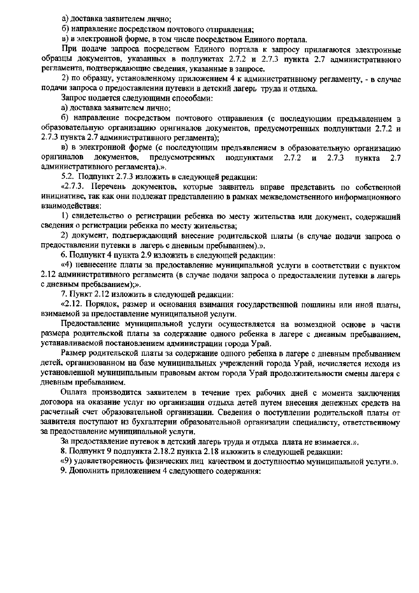а) доставка заявителем лично;

б) направление посредством почтового отправления;

в) в электронной форме, в том числе посредством Единого портала.

При подаче запроса посредством Единого портала к запросу прилагаются электронные образцы документов, указанных в подпунктах 2.7.2 и 2.7.3 пункта 2.7 административного регламента, подтверждающие сведения, указанные в запросе.

2) по образцу, установленному приложением 4 к административному регламенту, - в случае подачи запроса о предоставлении путевки в детский лагерь труда и отдыха.

Запрос подается следующими способами:

а) доставка заявителем лично:

б) направление посредством почтового отправления (с последующим предъявлением в образовательную организацию оригиналов документов, предусмотренных поллунктами 2.7.2 и 2.7.3 пункта 2.7 административного регламента);

в) в электронной форме (с последующим предъявлением в образовательную организацию оригиналов документов. предусмотренных подпунктами  $2.7.2$  $\mathbf{M}$  $2.7.3$ пункта  $2.7$ административного регламента).».

5.2. Подпункт 2.7.3 изложить в следующей редакции:

«2.7.3. Перечень документов, которые заявитель вправе представить по собственной инициативе, так как они подлежат представлению в рамках межведомственного информационного взаимолействия:

1) свидетельство о регистрации ребенка по месту жительства или документ, содержащий сведения о регистрации ребенка по месту жительства:

2) документ, подтверждающий внесение родительской платы (в случае подачи запроса о предоставлении путевки в лагерь с дневным пребыванием).».

6. Подпункт 4 пункта 2.9 изложить в следующей редакции:

«4) невнесение платы за предоставление муниципальной услуги в соответствии с пунктом 2.12 административного регламента (в случае подачи запроса о предоставлении путевки в лагерь с дневным пребыванием):».

7. Пункт 2.12 изложить в следующей редакции:

«2.12. Порядок, размер и основания взимания государственной пошлины или иной платы, взимаемой за предоставление муниципальной услуги.

Предоставление муниципальной услуги осуществляется на возмездной основе в части размера родительской платы за содержание одного ребенка в лагере с дневным пребыванием. устанавливаемой постановлением администрации города Урай.

Размер родительской платы за содержание одного ребенка в лагере с дневным пребыванием детей, организованном на базе муниципальных учреждений города Урай, исчисляется исходя из установленной муниципальным правовым актом города Урай продолжительности смены лагеря с дневным пребыванием.

Оплата производится заявителем в течение трех рабочих дней с момента заключения договора на оказание услуг по организации отдыха детей путем внесения денежных средств на расчетный счет образовательной организации. Сведения о поступлении родительской платы от заявителя поступают из бухгалтерии образовательной организации специалисту, ответственному за предоставление муниципальной услуги.

За предоставление путевок в детский лагерь труда и отдыха плата не взимается.».

8. Подпункт 9 подпункта 2.18.2 пункта 2.18 изложить в следующей редакции:

«9) удовлетворенность физических лиц качеством и доступностью муниципальной услуги.».

9. Дополнить приложением 4 следующего содержания: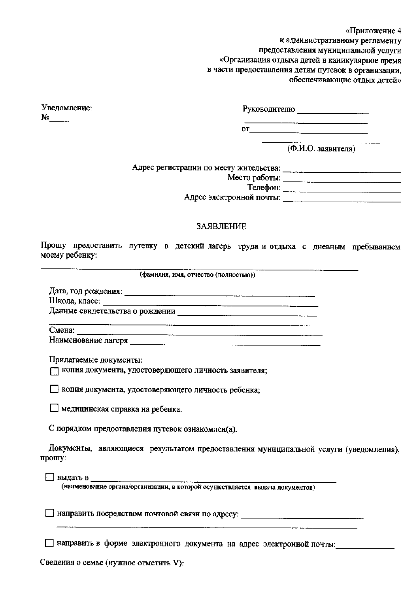«Приложение 4

к административному регламенту

предоставления муниципальной услуги

«Организация отдыха детей в каникулярное время

в части предоставления детям путевок в организации,

обеспечивающие отдых детей»

Уведомление:  $N_2$  and  $N_3$ 

Руководителю

or  $\qquad \qquad$ 

(Ф.И.О. заявителя)

Место работы: <u>Место работы:</u>

<u> 1988 - Januar Stein, martin a</u>

Адрес электронной почты: Политический и совможности по податки почты и податки по поставки по поставки по

## ЗАЯВЛЕНИЕ

Прошу предоставить путевку в детский лагерь труда и отдыха с дневным пребыванием моему ребенку:

(фамилия, имя, отчество (полностью))

Школа, класс:

Данные свидетельства о рождении по поставляют по поставки по поставки

Смена:

Наименование лагеря

Прилагаемые документы:

[7] КОПИЯ ДОКУМЕНТА, УДОСТОВЕРЯЮЩЕГО ЛИЧНОСТЬ ЗАЯВИТЕЛЯ;

П копия документа, удостоверяющего личность ребенка:

П медицинская справка на ребенка.

С порядком предоставления путевок ознакомлен(а).

Документы, являющиеся результатом предоставления муниципальной услуги (уведомления), прошу:

Выдать в

(наименование органа/организации, в которой осуществляется выдача документов)

П направить в форме электронного документа на адрес электронной почты:

Сведения о семье (нужное отметить V):